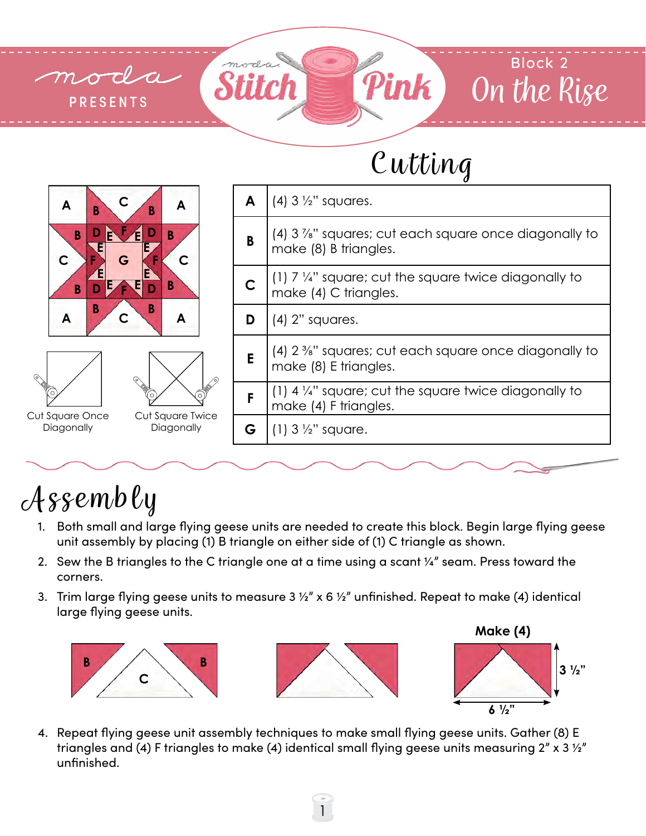

## Cutting

**3 1/2"**



## Assembly

- 1. Both small and large flying geese units are needed to create this block. Begin large flying geese unit assembly by placing (1) B triangle on either side of (1) C triangle as shown.
- 2. Sew the B triangles to the C triangle one at a time using a scant  $\frac{1}{4}$  seam. Press toward the corners.
- 3. Trim large flying geese units to measure 3  $\frac{1}{2}$ " x 6  $\frac{1}{2}$ " unfinished. Repeat to make (4) identical large flying geese units.



4. Repeat flying geese unit assembly techniques to make small flying geese units. Gather (8) E triangles and (4) F triangles to make (4) identical small flying geese units measuring  $2''$  x 3  $\frac{1}{2}''$ unfinished.

1